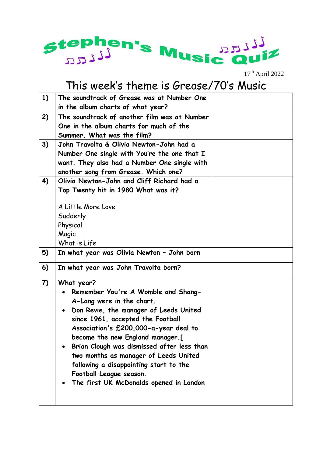

17th April 2022

## This week's theme is Grease/70's Music

| 1) | The soundtrack of Grease was at Number One          |  |
|----|-----------------------------------------------------|--|
|    | in the album charts of what year?                   |  |
| 2) | The soundtrack of another film was at Number        |  |
|    | One in the album charts for much of the             |  |
|    | Summer. What was the film?                          |  |
| 3) | John Travolta & Olivia Newton-John had a            |  |
|    | Number One single with You're the one that I        |  |
|    | want. They also had a Number One single with        |  |
|    | another song from Grease. Which one?                |  |
| 4) | Olivia Newton-John and Cliff Richard had a          |  |
|    | Top Twenty hit in 1980 What was it?                 |  |
|    |                                                     |  |
|    | A Little More Love                                  |  |
|    | Suddenly                                            |  |
|    | Physical                                            |  |
|    | Magic                                               |  |
|    | What is Life                                        |  |
| 5) | In what year was Olivia Newton - John born          |  |
| 6) | In what year was John Travolta born?                |  |
| 7) | What year?                                          |  |
|    | Remember You're A Womble and Shang-                 |  |
|    | A-Lang were in the chart.                           |  |
|    | Don Revie, the manager of Leeds United<br>$\bullet$ |  |
|    | since 1961, accepted the Football                   |  |
|    | Association's £200,000-a-year deal to               |  |
|    | become the new England manager.[                    |  |
|    | Brian Clough was dismissed after less than          |  |
|    | two months as manager of Leeds United               |  |
|    | following a disappointing start to the              |  |
|    | Football League season.                             |  |
|    | The first UK McDonalds opened in London             |  |
|    |                                                     |  |
|    |                                                     |  |